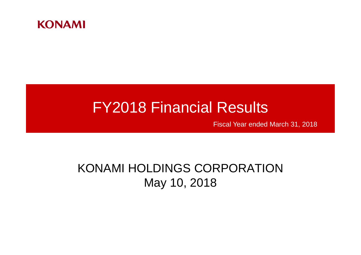

# FY2018 Financial Results

Fiscal Year ended March 31, 2018

## KONAMI HOLDINGS CORPORATION May 10, 2018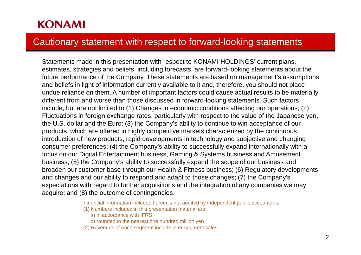#### Cautionary statement with respect to forward-looking statements

Statements made in this presentation with respect to KONAMI HOLDINGS' current plans, estimates, strategies and beliefs, including forecasts, are forward-looking statements about the future performance of the Company. These statements are based on management's assumptions and beliefs in light of information currently available to it and, therefore, you should not place undue reliance on them. A number of important factors could cause actual results to be materially different from and worse than those discussed in forward-looking statements. Such factors include, but are not limited to (1) Changes in economic conditions affecting our operations; (2) Fluctuations in foreign exchange rates, particularly with respect to the value of the Japanese yen, the U.S. dollar and the Euro; (3) the Company's ability to continue to win acceptance of our products, which are offered in highly competitive markets characterized by the continuous introduction of new products, rapid developments in technology and subjective and changing consumer preferences; (4) the Company's ability to successfully expand internationally with a focus on our Digital Entertainment business, Gaming & Systems business and Amusement business; (5) the Company's ability to successfully expand the scope of our business and broaden our customer base through our Health & Fitness business; (6) Regulatory developments and changes and our ability to respond and adapt to those changes; (7) the Company's expectations with regard to further acquisitions and the integration of any companies we may acquire; and (8) the outcome of contingencies.

- Financial information included herein is not audited by independent public accountants

- (1) Numbers included in this presentation material are;
	- a) in accordance with IFRS
	- b) rounded to the nearest one hundred million yen
- (2) Revenues of each segment include inter-segment sales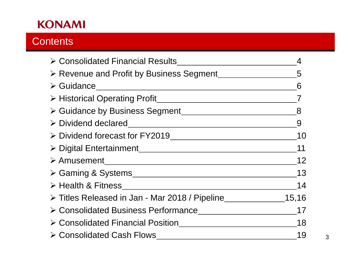## **Contents**

| ≻ Consolidated Financial Results                 |       |
|--------------------------------------------------|-------|
| > Revenue and Profit by Business Segment         | 5     |
| $\triangleright$ Guidance                        | 6     |
| > Historical Operating Profit                    |       |
| > Guidance by Business Segment                   | 8     |
|                                                  | 9     |
|                                                  | 10    |
| > Digital Entertainment                          | 11    |
|                                                  | 12    |
|                                                  | 13    |
| $\triangleright$ Health & Fitness                | 14    |
| ≻ Titles Released in Jan - Mar 2018 / Pipeline   | 15,16 |
|                                                  | 17    |
| $\triangleright$ Consolidated Financial Position | 18    |
| $\triangleright$ Consolidated Cash Flows         | 19    |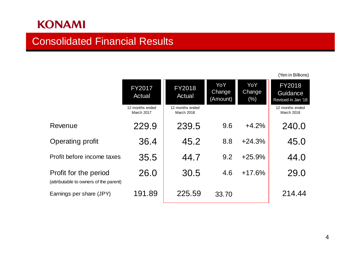### Consolidated Financial Results

|                                                                 |                                      |                                      |                           |                         | (Yen in Billions)                               |
|-----------------------------------------------------------------|--------------------------------------|--------------------------------------|---------------------------|-------------------------|-------------------------------------------------|
|                                                                 | <b>FY2017</b><br>Actual              | <b>FY2018</b><br>Actual              | YoY<br>Change<br>(Amount) | YoY<br>Change<br>$(\%)$ | <b>FY2018</b><br>Guidance<br>Revised in Jan '18 |
|                                                                 | 12 months ended<br><b>March 2017</b> | 12 months ended<br><b>March 2018</b> |                           |                         | 12 months ended<br>March 2018                   |
| Revenue                                                         | 229.9                                | 239.5                                | 9.6                       | $+4.2%$                 | 240.0                                           |
| Operating profit                                                | 36.4                                 | 45.2                                 | 8.8                       | $+24.3%$                | 45.0                                            |
| Profit before income taxes                                      | 35.5                                 | 44.7                                 | 9.2                       | $+25.9%$                | 44.0                                            |
| Profit for the period<br>(attributable to owners of the parent) | 26.0                                 | 30.5                                 | 4.6                       | $+17.6%$                | 29.0                                            |
| Earnings per share (JPY)                                        | 191.89                               | 225.59                               | 33.70                     |                         | 214.44                                          |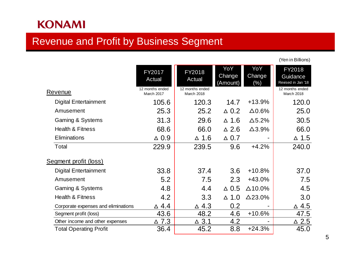## Revenue and Profit by Business Segment

| <b>Revenue</b>                      | FY2017<br><b>Actual</b><br>12 months ended | FY2018<br>Actual<br>12 months ended | YoY<br>Change<br>(Amount) | YoY<br>Change<br>$(\%)$ | FY2018<br>Guidance<br>Revised in Jan '18<br>12 months ended |
|-------------------------------------|--------------------------------------------|-------------------------------------|---------------------------|-------------------------|-------------------------------------------------------------|
|                                     | March 2017                                 | March 2018                          |                           |                         | March 2018                                                  |
| <b>Digital Entertainment</b>        | 105.6                                      | 120.3                               | 14.7                      | $+13.9%$                | 120.0                                                       |
| Amusement                           | 25.3                                       | 25.2                                | $\triangle$ 0.2           | $\Delta 0.6\%$          | 25.0                                                        |
| Gaming & Systems                    | 31.3                                       | 29.6                                | $\triangle$ 1.6           | $\Delta$ 5.2%           | 30.5                                                        |
| <b>Health &amp; Fitness</b>         | 68.6                                       | 66.0                                | $\triangle$ 2.6           | $\Delta$ 3.9%           | 66.0                                                        |
| Eliminations                        | $\triangle$ 0.9                            | $\triangle$ 1.6                     | $\triangle$ 0.7           |                         | $\triangle$ 1.5                                             |
| Total                               | 229.9                                      | 239.5                               | 9.6                       | $+4.2%$                 | 240.0                                                       |
| Segment profit (loss)               |                                            |                                     |                           |                         |                                                             |
| <b>Digital Entertainment</b>        | 33.8                                       | 37.4                                | 3.6                       | $+10.8%$                | 37.0                                                        |
| Amusement                           | 5.2                                        | 7.5                                 | 2.3                       | $+43.0%$                | 7.5                                                         |
| Gaming & Systems                    | 4.8                                        | 4.4                                 | $\triangle$ 0.5           | $\Delta$ 10.0%          | 4.5                                                         |
| <b>Health &amp; Fitness</b>         | 4.2                                        | 3.3                                 | $\triangle$ 1.0           | $\Delta$ 23.0%          | 3.0                                                         |
| Corporate expenses and eliminations | ∆ 4.4                                      | $\triangle$ 4.3                     | 0.2                       |                         | $\triangle$ 4.5                                             |
| Segment profit (loss)               | 43.6                                       | 48.2                                | 4.6                       | $+10.6%$                | 47.5                                                        |
| Other income and other expenses     | $\triangle$ 7.3                            | $\triangle$ 3.1                     | 4.2                       |                         | $\triangle$ 2.5                                             |
| <b>Total Operating Profit</b>       | 36.4                                       | 45.2                                | 8.8                       | $+24.3%$                | 45.0                                                        |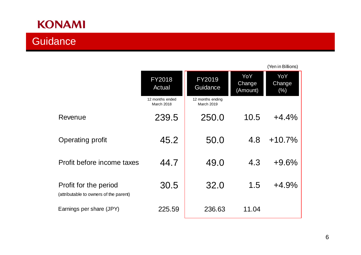## **Guidance**

|                                                                 | <b>FY2018</b><br>Actual              | <b>FY2019</b><br>Guidance      | YoY<br>Change<br>(Amount) | YoY<br>Change<br>$(\%)$ |
|-----------------------------------------------------------------|--------------------------------------|--------------------------------|---------------------------|-------------------------|
|                                                                 | 12 months ended<br><b>March 2018</b> | 12 months ending<br>March 2019 |                           |                         |
| Revenue                                                         | 239.5                                | 250.0                          | 10.5                      | $+4.4%$                 |
| Operating profit                                                | 45.2                                 | 50.0                           | 4.8                       | $+10.7%$                |
| Profit before income taxes                                      | 44.7                                 | 49.0                           | 4.3                       | $+9.6%$                 |
| Profit for the period<br>(attributable to owners of the parent) | 30.5                                 | 32.0                           | 1.5                       | $+4.9%$                 |
| Earnings per share (JPY)                                        | 225.59                               | 236.63                         | 11.04                     |                         |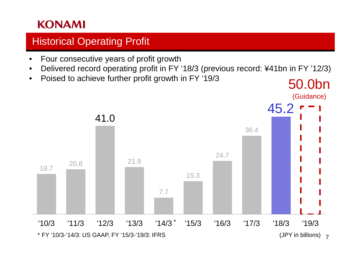## **Historical Operating Profit**

- Four consecutive years of profit growth
- Delivered record operating profit in FY '18/3 (previous record: ¥41bn in FY '12/3)

50.0bn

• Poised to achieve further profit growth in FY '19/3

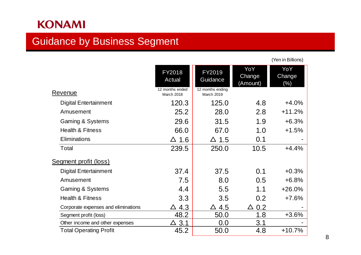#### Guidance by Business Segment

FY2018 Actual FY2019 **Guidance** YoY **Change** (Amount) YoY Change (%) Revenue 12 months ended<br>March 2018 March 2018 12 months ending March 2019 Digital Entertainment 120.3 125.0 4.8 +4.0% Amusement 25.2 28.0 2.8 +11.2% Gaming & Systems 29.6 31.5 1.9 +6.3% Health & Fitness 66.0 67.0 1.0 +1.5% Eliminations  $\Delta$  1.6  $\Delta$  1.5 0.1 -Total 239.5 250.0 10.5 +4.4% Segment profit (loss) Digital Entertainment **37.4** 37.5 0.1 +0.3% Amusement 7.5 8.0 0.5 +6.8% Gaming & Systems **4.4** 5.5 1.1 +26.0% Health & Fitness 3.3 3.5 0.2 +7.6% Corporate expenses and eliminations  $\begin{array}{c|c}\n\Delta 4.3 & \Delta 4.5 & \Delta 0.2 \\
\hline\n\text{Segment profit (loss)} & 48.2 & 50.0 & 1.8 & +3.6\% \\
\end{array}$ Segment profit (loss)  $48.2$  50.0  $1.8$ Other income and other expenses  $\Delta$  3.1  $\Delta$  0.0 3.1 Total Operating Profit **45.2** 50.0 4.8 +10.7%

8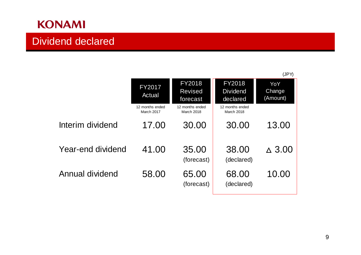## Dividend declared

|                   |                                      |                                             |                                              | (JPY)                     |
|-------------------|--------------------------------------|---------------------------------------------|----------------------------------------------|---------------------------|
|                   | <b>FY2017</b><br>Actual              | <b>FY2018</b><br><b>Revised</b><br>forecast | <b>FY2018</b><br><b>Dividend</b><br>declared | YoY<br>Change<br>(Amount) |
|                   | 12 months ended<br><b>March 2017</b> | 12 months ended<br><b>March 2018</b>        | 12 months ended<br><b>March 2018</b>         |                           |
| Interim dividend  | 17.00                                | 30.00                                       | 30.00                                        | 13.00                     |
| Year-end dividend | 41.00                                | 35.00<br>(forecast)                         | 38.00<br>(declared)                          | $\triangle$ 3.00          |
| Annual dividend   | 58.00                                | 65.00<br>(forecast)                         | 68.00<br>(declared)                          | 10.00                     |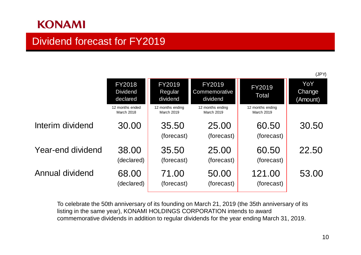### Dividend forecast for FY2019

|                        |                                              |                                       |                                            |                                       | (JPY)                            |
|------------------------|----------------------------------------------|---------------------------------------|--------------------------------------------|---------------------------------------|----------------------------------|
|                        | <b>FY2018</b><br><b>Dividend</b><br>declared | FY2019<br>Regular<br>dividend         | <b>FY2019</b><br>Commemorative<br>dividend | FY2019<br><b>Total</b>                | YoY<br><b>Change</b><br>(Amount) |
|                        | 12 months ended<br><b>March 2018</b>         | 12 months ending<br><b>March 2019</b> | 12 months ending<br><b>March 2019</b>      | 12 months ending<br><b>March 2019</b> |                                  |
| Interim dividend       | 30.00                                        | 35.50<br>(forecast)                   | 25.00<br>(forecast)                        | 60.50<br>(forecast)                   | 30.50                            |
| Year-end dividend      | 38.00<br>(declared)                          | 35.50<br>(forecast)                   | 25.00<br>(forecast)                        | 60.50<br>(forecast)                   | 22.50                            |
| <b>Annual dividend</b> | 68.00<br>(declared)                          | 71.00<br>(forecast)                   | 50.00<br>(forecast)                        | 121.00<br>(forecast)                  | 53.00                            |

To celebrate the 50th anniversary of its founding on March 21, 2019 (the 35th anniversary of its listing in the same year), KONAMI HOLDINGS CORPORATION intends to award commemorative dividends in addition to regular dividends for the year ending March 31, 2019.

10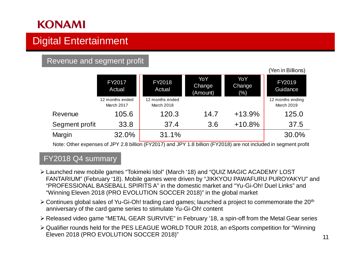## Digital Entertainment

#### Revenue and segment profit

|                |                               |                               |                           |                                | <b>TULLED DILOID</b>           |
|----------------|-------------------------------|-------------------------------|---------------------------|--------------------------------|--------------------------------|
|                | FY2017<br>Actual              | FY2018<br>Actual              | YoY<br>Change<br>(Amount) | YoY<br><b>Change</b><br>$(\%)$ | FY2019<br>Guidance             |
|                | 12 months ended<br>March 2017 | 12 months ended<br>March 2018 |                           |                                | 12 months ending<br>March 2019 |
| Revenue        | 105.6                         | 120.3                         | 14.7                      | $+13.9%$                       | 125.0                          |
| Segment profit | 33.8                          | 37.4                          | 3.6                       | $+10.8%$                       | 37.5                           |
| Margin         | 32.0%                         | 31.1%                         |                           |                                | 30.0%                          |

Note: Other expenses of JPY 2.8 billion (FY2017) and JPY 1.8 billion (FY2018) are not included in segment profit

#### FY2018 Q4 summary

- Launched new mobile games "Tokimeki Idol" (March '18) and "QUIZ MAGIC ACADEMY LOST FANTARIUM" (February '18). Mobile games were driven by "JIKKYOU PAWAFURU PUROYAKYU" and "PROFESSIONAL BASEBALL SPIRITS A" in the domestic market and "Yu-Gi-Oh! Duel Links" and "Winning Eleven 2018 (PRO EVOLUTION SOCCER 2018)" in the global market
- $\geq$  Continues global sales of Yu-Gi-Oh! trading card games; launched a project to commemorate the 20<sup>th</sup> anniversary of the card game series to stimulate Yu-Gi-Oh! content
- Released video game "METAL GEAR SURVIVE" in February '18, a spin-off from the Metal Gear series
- Qualifier rounds held for the PES LEAGUE WORLD TOUR 2018, an eSports competition for "Winning Eleven 2018 (PRO EVOLUTION SOCCER 2018)"

 $(N_{\text{max}})$   $\sum_{n=1}^{\infty}$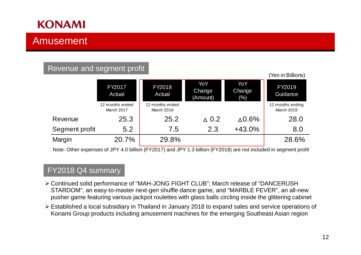### Amusement

#### Revenue and segment profit

|                | <b>FY2017</b><br>Actual       | FY2018<br>Actual              | YoY<br>Change<br>(Amount) | YoY<br>Change<br>$(\%)$ | FY2019<br>Guidance             |
|----------------|-------------------------------|-------------------------------|---------------------------|-------------------------|--------------------------------|
|                | 12 months ended<br>March 2017 | 12 months ended<br>March 2018 |                           |                         | 12 months ending<br>March 2019 |
| Revenue        | 25.3                          | 25.2                          | $\triangle$ 0.2           | $\Delta 0.6\%$          | 28.0                           |
| Segment profit | 5.2                           | 7.5                           | 2.3                       | $+43.0%$                | 8.0                            |
| Margin         | 20.7%                         | 29.8%                         |                           |                         | 28.6%                          |

Note: Other expenses of JPY 4.0 billion (FY2017) and JPY 1.3 billion (FY2018) are not included in segment profit

#### FY2018 Q4 summary

- Continued solid performance of "MAH-JONG FIGHT CLUB"; March release of "DANCERUSH STARDOM", an easy-to-master next-gen shuffle dance game, and "MARBLE FEVER", an all-new pusher game featuring various jackpot roulettes with glass balls circling inside the glittering cabinet
- Established a local subsidiary in Thailand in January 2018 to expand sales and service operations of Konami Group products including amusement machines for the emerging Southeast Asian region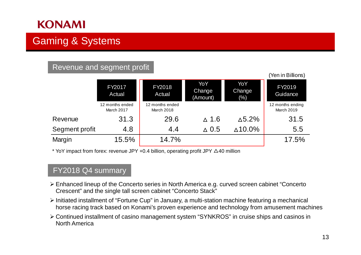## Gaming & Systems

#### Revenue and segment profit

|                | <b>FY2017</b><br>Actual       | FY2018<br>Actual              | YoY<br>Change<br>(Amount) | YoY<br>Change<br>$(\%)$ | FY2019<br>Guidance                    |
|----------------|-------------------------------|-------------------------------|---------------------------|-------------------------|---------------------------------------|
|                | 12 months ended<br>March 2017 | 12 months ended<br>March 2018 |                           |                         | 12 months ending<br><b>March 2019</b> |
| Revenue        | 31.3                          | 29.6                          | $\triangle$ 1.6           | $\triangle$ 5.2%        | 31.5                                  |
| Segment profit | 4.8                           | 4.4                           | $\triangle$ 0.5           | $\triangle$ 10.0%       | 5.5                                   |
| Margin         | 15.5%                         | 14.7%                         |                           |                         | 17.5%                                 |

\* YoY impact from forex: revenue JPY +0.4 billion, operating profit JPY  $\triangle$ 40 million

#### FY2018 Q4 summary

- Enhanced lineup of the Concerto series in North America e.g. curved screen cabinet "Concerto Crescent" and the single tall screen cabinet "Concerto Stack"
- Initiated installment of "Fortune Cup" in January, a multi-station machine featuring a mechanical horse racing track based on Konami's proven experience and technology from amusement machines
- Continued installment of casino management system "SYNKROS" in cruise ships and casinos in North America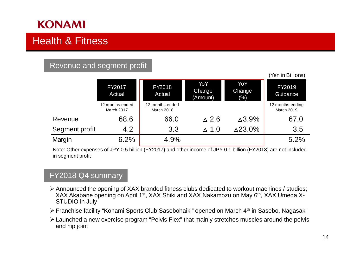## Health & Fitness

#### Revenue and segment profit

|                |                               |                               |                           |                         | <u>  10   11   11   11 </u>    |
|----------------|-------------------------------|-------------------------------|---------------------------|-------------------------|--------------------------------|
|                | FY2017<br>Actual              | FY2018<br>Actual              | YoY<br>Change<br>(Amount) | YoY<br>Change<br>$(\%)$ | FY2019<br>Guidance             |
|                | 12 months ended<br>March 2017 | 12 months ended<br>March 2018 |                           |                         | 12 months ending<br>March 2019 |
| Revenue        | 68.6                          | 66.0                          | $\triangle$ 2.6           | $\triangle$ 3.9%        | 67.0                           |
| Segment profit | 4.2                           | 3.3                           | $\triangle$ 1.0           | $\triangle$ 23.0%       | 3.5                            |
| Margin         | 6.2%                          | 4.9%                          |                           |                         | 5.2%                           |

Note: Other expenses of JPY 0.5 billion (FY2017) and other income of JPY 0.1 billion (FY2018) are not included in segment profit

#### FY2018 Q4 summary

- Announced the opening of XAX branded fitness clubs dedicated to workout machines / studios; XAX Akabane opening on April 1st, XAX Shiki and XAX Nakamozu on May 6th, XAX Umeda X-STUDIO in July
- Franchise facility "Konami Sports Club Sasebohaiki" opened on March 4th in Sasebo, Nagasaki
- Launched a new exercise program "Pelvis Flex" that mainly stretches muscles around the pelvis and hip joint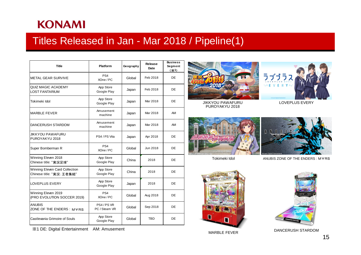### Titles Released in Jan - Mar 2018 / Pipeline(1)

| <b>Title</b>                                                | <b>Platform</b>              | Geography | Release<br>Date | <b>Business</b><br>Segment<br>(X <sub>1</sub> ) |
|-------------------------------------------------------------|------------------------------|-----------|-----------------|-------------------------------------------------|
| <b>METAL GEAR SURVIVE</b>                                   | PS <sub>4</sub><br>XOne / PC | Global    | Feb 2018        | DE                                              |
| <b>QUIZ MAGIC ACADEMY</b><br><b>LOST FANTARIUM</b>          | App Store<br>Google Play     | Japan     | Feb 2018        | DE                                              |
| Tokimeki Idol                                               | App Store<br>Google Play     | Japan     | Mar 2018        | DE                                              |
| <b>MARBLE FEVER</b>                                         | Amusement<br>machine         | Japan     | Mar 2018        | AM                                              |
| DANCERUSH STARDOM                                           | Amusement<br>machine         | Japan     | Mar 2018        | AM                                              |
| JIKKYOU PAWAFURU<br>PUROYAKYU 2018                          | PS4 / PS Vita                | Japan     | Apr 2018        | DE                                              |
| Super Bomberman R                                           | PS <sub>4</sub><br>XOne / PC | Global    | Jun 2018        | DE                                              |
| Winning Eleven 2018<br>Chinese title: "実況足球"                | App Store<br>Google Play     | China     | 2018            | DE                                              |
| Winning Eleven Card Collection<br>Chinese title: "実況: 王者集結" | App Store<br>Google Play     | China     | 2018            | DE                                              |
| LOVEPLUS EVERY                                              | App Store<br>Google Play     | Japan     | 2018            | DE                                              |
| Winning Eleven 2019<br>(PRO EVOLUTION SOCCER 2019)          | PS <sub>4</sub><br>XOne / PC | Global    | Aug 2018        | DE                                              |
| <b>ANUBIS</b><br>ZONE OF THE ENDERS: MYRS                   | PS4/PS VR<br>PC / Steam VR   | Global    | Sep 2018        | DE                                              |
| Castlevania Grimoire of Souls                               | App Store<br>Google Play     | Global    | <b>TBD</b>      | DE                                              |

※1 DE: Digital Entertainment AM: Amusement





JIKKYOU PAWAFURU LOVEPLUS EVERY PUROYAKYU 2018





Tokimeki Idol

ANUBIS ZONE OF THE ENDERS : M∀RS





DANCERUSH STARDOM MARBLE FEVER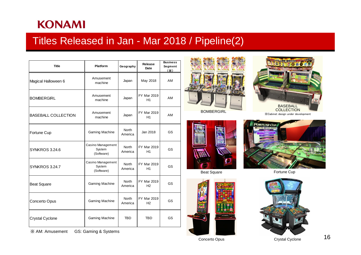### Titles Released in Jan - Mar 2018 / Pipeline(2)

| <b>Title</b>               | <b>Platform</b>                           | Geography               | Release<br><b>Date</b>               | <b>Business</b><br>Segment<br>$(\mathbb{X})$ |
|----------------------------|-------------------------------------------|-------------------------|--------------------------------------|----------------------------------------------|
| Magical Halloween 6        | Amusement<br>machine                      | Japan                   | May 2018                             | AM                                           |
| <b>BOMBERGIRL</b>          | Amusement<br>machine                      | Japan                   | FY Mar 2019<br>H1                    | AM                                           |
| <b>BASEBALL COLLECTION</b> | Amusement<br>machine                      | Japan                   | <b>FY Mar 2019</b><br>H1             | AM                                           |
| Fortune Cup                | <b>Gaming Machine</b>                     | <b>North</b><br>America | Jan 2018                             | GS                                           |
| SYNKROS 3.24.6             | Casino Management<br>System<br>(Software) | North<br>America        | FY Mar 2019<br>H1                    | <b>GS</b>                                    |
| <b>SYNKROS 3.24.7</b>      | Casino Management<br>System<br>(Software) | <b>North</b><br>America | FY Mar 2019<br>H1                    | GS                                           |
| <b>Beat Square</b>         | <b>Gaming Machine</b>                     | <b>North</b><br>America | <b>FY Mar 2019</b><br>H <sub>2</sub> | GS                                           |
| Concerto Opus              | Gaming Machine                            | <b>North</b><br>America | <b>FY Mar 2019</b><br>H <sub>2</sub> | GS                                           |
| Crystal Cyclone            | Gaming Machine                            | <b>TBD</b>              | <b>TBD</b>                           | GS                                           |

※ AM: Amusement GS: Gaming & Systems







Beat Square





**FORTUNE CUP** 

Fortune Cup



Concerto Opus **Concerto Crystal Cyclone** 

16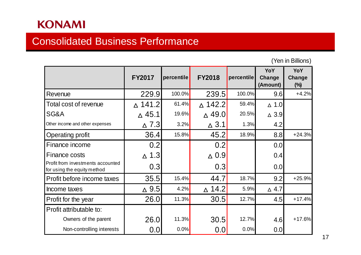### Consolidated Business Performance

|                                                                  | <b>FY2017</b>     | percentile | <b>FY2018</b>     | percentile | YoY<br>Change<br>(Amount) | YoY<br>Change<br>$(\%)$ |
|------------------------------------------------------------------|-------------------|------------|-------------------|------------|---------------------------|-------------------------|
| Revenue                                                          | 229.9             | 100.0%     | 239.5             | 100.0%     | 9.6                       | $+4.2%$                 |
| <b>Total cost of revenue</b>                                     | $\triangle$ 141.2 | 61.4%      | $\triangle$ 142.2 | 59.4%      | $\triangle$ 1.0           |                         |
| SG&A                                                             | $\triangle$ 45.1  | 19.6%      | $\triangle$ 49.0  | 20.5%      | $\triangle$ 3.9           |                         |
| Other income and other expenses                                  | $\triangle$ 7.3   | 3.2%       | $\triangle$ 3.1   | 1.3%       | 4.2                       |                         |
| Operating profit                                                 | 36.4              | 15.8%      | 45.2              | 18.9%      | 8.8                       | $+24.3%$                |
| Finance income                                                   | 0.2               |            | 0.2               |            | 0.0                       |                         |
| Finance costs                                                    | $\Delta$ 1.3      |            | $\Delta$ 0.9      |            | 0.4                       |                         |
| Profit from investments accounted<br>for using the equity method | 0.3               |            | 0.3               |            | 0.0                       |                         |
| Profit before income taxes                                       | 35.5              | 15.4%      | 44.7              | 18.7%      | 9.2                       | $+25.9%$                |
| Income taxes                                                     | $\triangle$ 9.5   | 4.2%       | $\triangle$ 14.2  | 5.9%       | $\triangle$ 4.7           |                         |
| Profit for the year                                              | 26.0              | 11.3%      | 30.5              | 12.7%      | 4.5                       | $+17.4%$                |
| Profit attributable to:                                          |                   |            |                   |            |                           |                         |
| Owners of the parent                                             | 26.0              | 11.3%      | 30.5              | 12.7%      | 4.6                       | $+17.6%$                |
| Non-controlling interests                                        | 0.0               | 0.0%       | 0.0               | 0.0%       | 0.0                       |                         |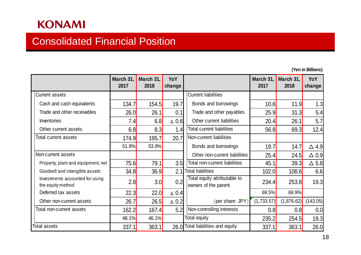### Consolidated Financial Position

|                                                      | March 31,<br>2017 | March 31,<br>2018 | YoY<br>change |                                                      | March 31,<br>2017 | March 31,<br>2018 | YoY<br>change   |
|------------------------------------------------------|-------------------|-------------------|---------------|------------------------------------------------------|-------------------|-------------------|-----------------|
| <b>Current assets</b>                                |                   |                   |               | <b>Current liabilities</b>                           |                   |                   |                 |
| Cash and cash equivalents                            | 134.7             | 154.5             | 19.7          | Bonds and borrowings                                 | 10.6              | 11.9              | 1.3             |
| Trade and other receivables                          | 26.0              | 26.1              | 0.1           | Trade and other payables                             | 25.9              | 31.3              | 5.4             |
| Inventories                                          | 7.4               | 6.8               | $\Delta$ 0.6  | Other current liabilities                            | 20.4              | 26.1              | 5.7             |
| Other current assets                                 | 6.8               | 8.3               | 1.4           | <b>Total current liabilities</b>                     | 56.8              | 69.3              | 12.4            |
| Total current assets                                 | 174.9             | 195.7             | 20.7          | Non-current liabilities                              |                   |                   |                 |
|                                                      | 51.9%             | 53.9%             |               | Bonds and borrowings                                 | 19.7              | 14.7              | $\triangle$ 4.9 |
| Non-current assets                                   |                   |                   |               | Other non-current liabilities                        | 25.4              | 24.5              | $\triangle$ 0.9 |
| Property, plant and equipment, net                   | 75.6              | 79.1              | 3.5           | Total non-current liabilities                        | 45.1              | 39.3              | $\Delta$ 5.8    |
| Goodwill and intangible assets                       | 34.8              | 36.9              | 2.1           | <b>Total liabilities</b>                             | 102.0             | 108.6             | 6.6             |
| Investments accounted for using<br>the equity method | 2.8               | 3.0               | 0.2           | Total equity attributable to<br>owners of the parent | 234.4             | 253.8             | 19.3            |
| Deferred tax assets                                  | 22.3              | 22.0              | $\Delta$ 0.4  |                                                      | 69.5%             | 69.9%             |                 |
| Other non-current assets                             | 26.7              | 26.5              | $\Delta$ 0.2  | (per share: JPY)                                     | (1,733.57)        | (1,876.62)        | (143.05)        |
| Total non-current assets                             | 162.2             | 167.4             | 5.2           | Non-controlling interests                            | 0.8               | 0.8               | 0.0             |
|                                                      | 48.1%             | 46.1%             |               | Total equity                                         | 235.2             | 254.5             | 19.3            |
| Total assets                                         | 337.1             | 363.1             |               | 26.0 Total liabilities and equity                    | 337.1             | 363.1             | 26.0            |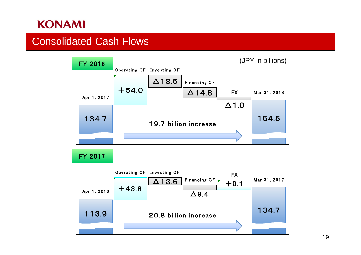### Consolidated Cash Flows